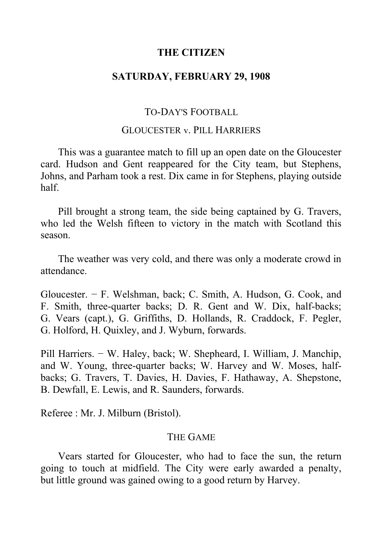# **THE CITIZEN**

# **SATURDAY, FEBRUARY 29, 1908**

# TO-DAY'S FOOTBALL

## GLOUCESTER v. PILL HARRIERS

This was a guarantee match to fill up an open date on the Gloucester card. Hudson and Gent reappeared for the City team, but Stephens, Johns, and Parham took a rest. Dix came in for Stephens, playing outside half.

Pill brought a strong team, the side being captained by G. Travers, who led the Welsh fifteen to victory in the match with Scotland this season.

The weather was very cold, and there was only a moderate crowd in attendance.

Gloucester. − F. Welshman, back; C. Smith, A. Hudson, G. Cook, and F. Smith, three-quarter backs; D. R. Gent and W. Dix, half-backs; G. Vears (capt.), G. Griffiths, D. Hollands, R. Craddock, F. Pegler, G. Holford, H. Quixley, and J. Wyburn, forwards.

Pill Harriers. − W. Haley, back; W. Shepheard, I. William, J. Manchip, and W. Young, three-quarter backs; W. Harvey and W. Moses, halfbacks; G. Travers, T. Davies, H. Davies, F. Hathaway, A. Shepstone, B. Dewfall, E. Lewis, and R. Saunders, forwards.

Referee : Mr. J. Milburn (Bristol).

#### THE GAME

Vears started for Gloucester, who had to face the sun, the return going to touch at midfield. The City were early awarded a penalty, but little ground was gained owing to a good return by Harvey.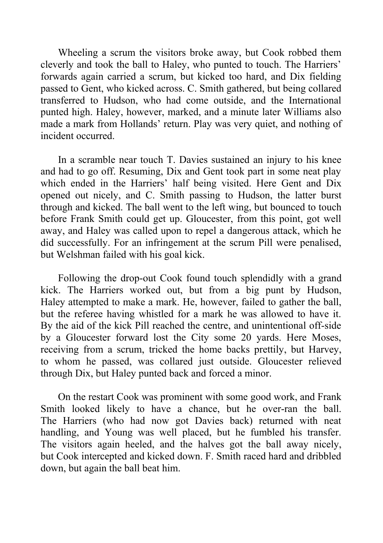Wheeling a scrum the visitors broke away, but Cook robbed them cleverly and took the ball to Haley, who punted to touch. The Harriers' forwards again carried a scrum, but kicked too hard, and Dix fielding passed to Gent, who kicked across. C. Smith gathered, but being collared transferred to Hudson, who had come outside, and the International punted high. Haley, however, marked, and a minute later Williams also made a mark from Hollands' return. Play was very quiet, and nothing of incident occurred.

In a scramble near touch T. Davies sustained an injury to his knee and had to go off. Resuming, Dix and Gent took part in some neat play which ended in the Harriers' half being visited. Here Gent and Dix opened out nicely, and C. Smith passing to Hudson, the latter burst through and kicked. The ball went to the left wing, but bounced to touch before Frank Smith could get up. Gloucester, from this point, got well away, and Haley was called upon to repel a dangerous attack, which he did successfully. For an infringement at the scrum Pill were penalised, but Welshman failed with his goal kick.

Following the drop-out Cook found touch splendidly with a grand kick. The Harriers worked out, but from a big punt by Hudson, Haley attempted to make a mark. He, however, failed to gather the ball, but the referee having whistled for a mark he was allowed to have it. By the aid of the kick Pill reached the centre, and unintentional off-side by a Gloucester forward lost the City some 20 yards. Here Moses, receiving from a scrum, tricked the home backs prettily, but Harvey, to whom he passed, was collared just outside. Gloucester relieved through Dix, but Haley punted back and forced a minor.

On the restart Cook was prominent with some good work, and Frank Smith looked likely to have a chance, but he over-ran the ball. The Harriers (who had now got Davies back) returned with neat handling, and Young was well placed, but he fumbled his transfer. The visitors again heeled, and the halves got the ball away nicely, but Cook intercepted and kicked down. F. Smith raced hard and dribbled down, but again the ball beat him.